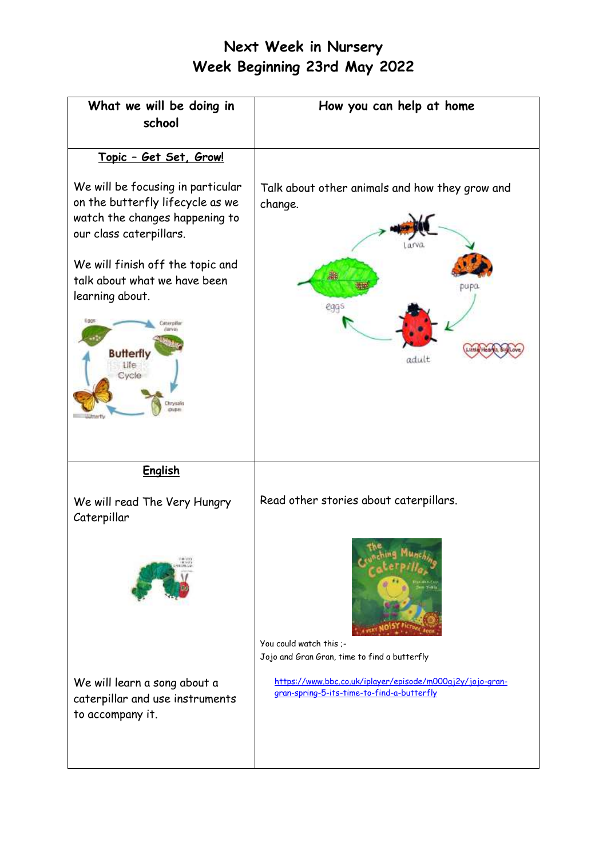## **Next Week in Nursery Week Beginning 23rd May 2022**

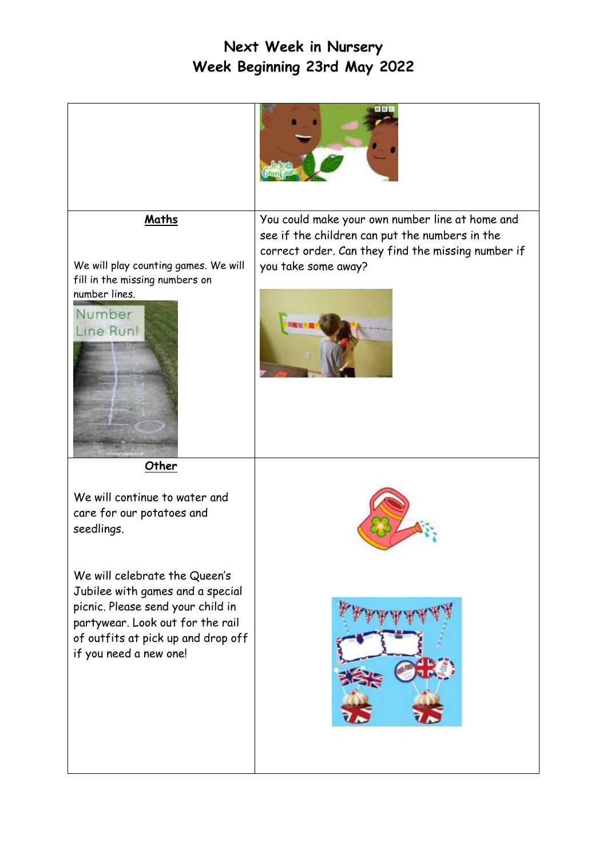## **Next Week in Nursery Week Beginning 23rd May 2022**